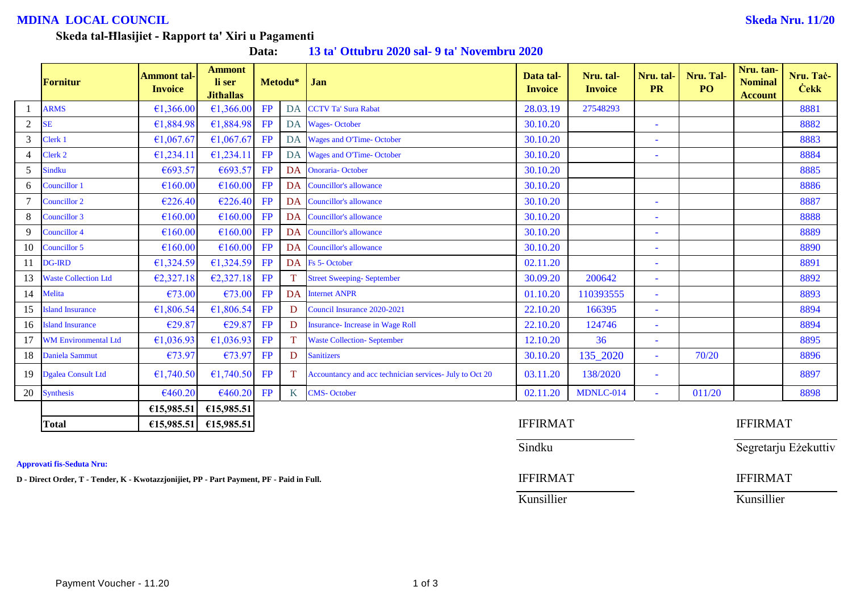# **MDINA LOCAL COUNCIL Skeda Nru. 11/20**

Segretarju Eżekuttiv

#### **Skeda tal-Ħlasijiet - Rapport ta' Xiri u Pagamenti**

**Data: 13 ta' Ottubru 2020 sal- 9 ta' Novembru 2020**

|                | Fornitur                    | <b>Ammont tal-</b><br><b>Invoice</b> | <b>Ammont</b><br>li ser<br><b>Jithallas</b> |           | Metodu*   | Jan                                                     | Data tal-<br><b>Invoice</b> | Nru. tal-<br><b>Invoice</b> | Nru. tal-<br><b>PR</b>   | Nru. Tal-<br>PO <sub>1</sub> | Nru. tan-<br><b>Nominal</b><br><b>Account</b> | Nru. Tač-<br><b>Cekk</b> |
|----------------|-----------------------------|--------------------------------------|---------------------------------------------|-----------|-----------|---------------------------------------------------------|-----------------------------|-----------------------------|--------------------------|------------------------------|-----------------------------------------------|--------------------------|
|                | <b>ARMS</b>                 | €1,366.00                            | €1,366.00                                   | FP        | DA        | <b>CCTV Ta' Sura Rabat</b>                              | 28.03.19                    | 27548293                    |                          |                              |                                               | 8881                     |
| $\overline{2}$ | <b>SE</b>                   | €1,884.98                            | £1,884.98                                   | FP        |           | DA Wages-October                                        | 30.10.20                    |                             | ٠                        |                              |                                               | 8882                     |
| $\mathfrak{Z}$ | Clerk 1                     | €1,067.67                            | £1,067.67                                   | FP        |           | DA Wages and O'Time-October                             | 30.10.20                    |                             |                          |                              |                                               | 8883                     |
| $\overline{4}$ | Clerk 2                     | €1,234.11                            | £1,234.11                                   | FP        |           | DA Wages and O'Time-October                             | 30.10.20                    |                             | ۰                        |                              |                                               | 8884                     |
| 5              | <b>Sindku</b>               | €693.57                              | €693.57                                     | FP        | DA        | <b>Onoraria-October</b>                                 | 30.10.20                    |                             |                          |                              |                                               | 8885                     |
| 6              | Councillor 1                | €160.00                              | £160.00                                     | FP        | DA        | Councillor's allowance                                  | 30.10.20                    |                             |                          |                              |                                               | 8886                     |
|                | Councillor 2                | €226.40                              | €226.40                                     | FP        | DA        | Councillor's allowance                                  | 30.10.20                    |                             | $\overline{\phantom{a}}$ |                              |                                               | 8887                     |
| 8              | Councillor 3                | €160.00                              | £160.00                                     | FP        | DA        | Councillor's allowance                                  | 30.10.20                    |                             | ÷,                       |                              |                                               | 8888                     |
| 9              | <b>Councillor 4</b>         | €160.00                              | €160.00                                     | FP        | <b>DA</b> | Councillor's allowance                                  | 30.10.20                    |                             | $\sim$                   |                              |                                               | 8889                     |
| 10             | Councillor 5                | €160.00                              | £160.00                                     | FP        | DA        | Councillor's allowance                                  | 30.10.20                    |                             | ۰                        |                              |                                               | 8890                     |
| 11             | <b>DG-IRD</b>               | €1,324.59                            | €1,324.59 FP                                |           |           | DA Fs 5-October                                         | 02.11.20                    |                             | ۰                        |                              |                                               | 8891                     |
| 13             | <b>Waste Collection Ltd</b> | €2,327.18                            | $E2,327.18$ FP                              |           |           | <b>Street Sweeping-September</b>                        | 30.09.20                    | 200642                      | ٠                        |                              |                                               | 8892                     |
| 14             | Melita                      | €73.00                               | €73.00                                      | FP        |           | DA Internet ANPR                                        | 01.10.20                    | 110393555                   | $\overline{\phantom{a}}$ |                              |                                               | 8893                     |
| 15             | <b>Island Insurance</b>     | €1,806.54                            | €1,806.54                                   | FP        | D         | Council Insurance 2020-2021                             | 22.10.20                    | 166395                      | $\bar{\phantom{a}}$      |                              |                                               | 8894                     |
|                | 16 Island Insurance         | €29.87                               | €29.87                                      | <b>FP</b> | D         | <b>Insurance-</b> Increase in Wage Roll                 | 22.10.20                    | 124746                      | $\bar{\phantom{a}}$      |                              |                                               | 8894                     |
| 17             | <b>WM Environmental Ltd</b> | €1,036.93                            | €1,036.93                                   | FP        |           | <b>Waste Collection-September</b>                       | 12.10.20                    | 36                          | $\overline{\phantom{a}}$ |                              |                                               | 8895                     |
| 18             | Daniela Sammut              | €73.97                               | €73.97                                      | <b>FP</b> | D         | <b>Sanitizers</b>                                       | 30.10.20                    | 135_2020                    | $\bar{\phantom{a}}$      | 70/20                        |                                               | 8896                     |
| 19             | Dgalea Consult Ltd          | €1,740.50                            | €1,740.50                                   | FP        |           | Accountancy and acc technician services- July to Oct 20 | 03.11.20                    | 138/2020                    | $\overline{\phantom{a}}$ |                              |                                               | 8897                     |
| 20             | Synthesis                   | €460.20                              | €460.20                                     | <b>FP</b> | K         | <b>CMS-October</b>                                      | 02.11.20                    | MDNLC-014                   | ÷,                       | 011/20                       |                                               | 8898                     |
|                |                             | €15,985.51                           | €15,985.51                                  |           |           |                                                         |                             |                             |                          |                              |                                               |                          |
|                | <b>Total</b>                | £15,985.51                           | £15,985.51                                  |           |           |                                                         | <b>IFFIRMAT</b>             |                             |                          |                              | <b>IFFIRMAT</b>                               |                          |

**Approvati fis-Seduta Nru:**

**D** - Direct Order, T - Tender, K - Kwotazzjonijiet, PP - Part Payment, PF - Paid in Full. **IFFIRMAT** IFFIRMAT

| <b>IFFIRMAT</b> | <b>IFFIRMA</b> |
|-----------------|----------------|
| Sindku          | Segretarju     |
| <b>IFFIRMAT</b> | <b>IFFIRMA</b> |
| Kunsillier      | Kunsillier     |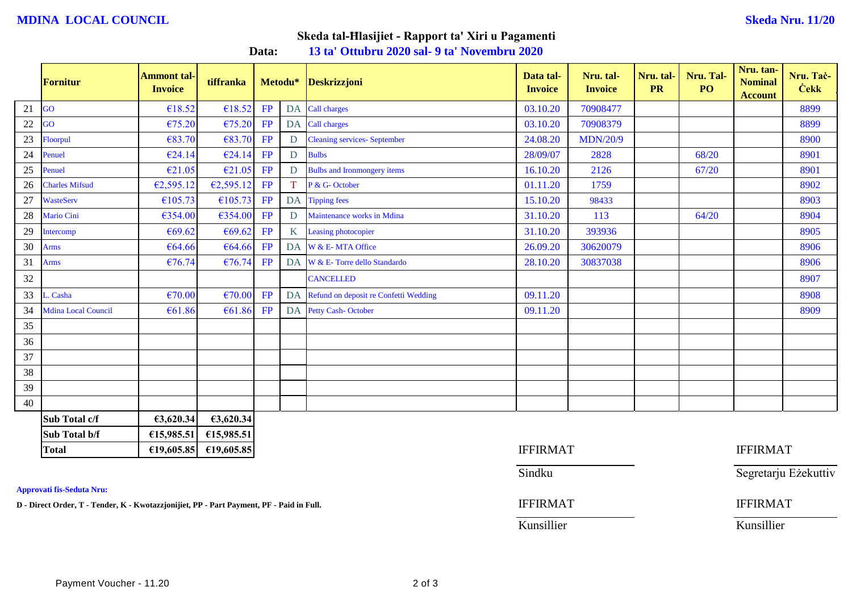### **MDINA LOCAL COUNCIL Skeda Nru. 11/20**

# **Skeda tal-Ħlasijiet - Rapport ta' Xiri u Pagamenti**

**Data: 13 ta' Ottubru 2020 sal- 9 ta' Novembru 2020**

|    | <b>Fornitur</b>            | <b>Ammont tal-</b><br><b>Invoice</b> | tiffranka  |    | Metodu*         | <b>Deskrizzjoni</b>                      | Data tal-<br><b>Invoice</b> | Nru. tal-<br><b>Invoice</b> | Nru. tal-<br><b>PR</b> | Nru. Tal-<br>PO | Nru. tan-<br><b>Nominal</b><br><b>Account</b> | Nru. Tač-<br><b>Cekk</b> |
|----|----------------------------|--------------------------------------|------------|----|-----------------|------------------------------------------|-----------------------------|-----------------------------|------------------------|-----------------|-----------------------------------------------|--------------------------|
| 21 | GO                         | €18.52                               | €18.52     | FP |                 | DA Call charges                          | 03.10.20                    | 70908477                    |                        |                 |                                               | 8899                     |
| 22 | GO                         | €75.20                               | €75.20     | FP |                 | DA Call charges                          | 03.10.20                    | 70908379                    |                        |                 |                                               | 8899                     |
| 23 | Floorpul                   | €83.70                               | €83.70     | FP | D               | <b>Cleaning services- September</b>      | 24.08.20                    | <b>MDN/20/9</b>             |                        |                 |                                               | 8900                     |
| 24 | Penuel                     | €24.14                               | €24.14     | FP | $\mathbf{D}$    | <b>Bulbs</b>                             | 28/09/07                    | 2828                        |                        | 68/20           |                                               | 8901                     |
| 25 | Penuel                     | €21.05                               | €21.05     | FP | $\mathbf D$     | <b>Bulbs and Ironmongery items</b>       | 16.10.20                    | 2126                        |                        | 67/20           |                                               | 8901                     |
| 26 | <b>Charles Mifsud</b>      | €2,595.12                            | €2,595.12  | FP | T.              | P & G- October                           | 01.11.20                    | 1759                        |                        |                 |                                               | 8902                     |
| 27 | <b>WasteServ</b>           | €105.73                              | €105.73    | FP |                 | DA Tipping fees                          | 15.10.20                    | 98433                       |                        |                 |                                               | 8903                     |
| 28 | Mario Cini                 | €354.00                              | €354.00    | FP | D               | Maintenance works in Mdina               | 31.10.20                    | 113                         |                        | 64/20           |                                               | 8904                     |
| 29 | Intercomp                  | €69.62                               | €69.62     | FP | $K_{\parallel}$ | Leasing photocopier                      | 31.10.20                    | 393936                      |                        |                 |                                               | 8905                     |
| 30 | <b>Arms</b>                | €64.66                               | €64.66     | FP |                 | DA W & E-MTA Office                      | 26.09.20                    | 30620079                    |                        |                 |                                               | 8906                     |
| 31 | <b>Arms</b>                | €76.74                               | €76.74     | FP |                 | DA W & E- Torre dello Standardo          | 28.10.20                    | 30837038                    |                        |                 |                                               | 8906                     |
| 32 |                            |                                      |            |    |                 | <b>CANCELLED</b>                         |                             |                             |                        |                 |                                               | 8907                     |
| 33 | Casha                      | €70.00                               | €70.00     | FP |                 | DA Refund on deposit re Confetti Wedding | 09.11.20                    |                             |                        |                 |                                               | 8908                     |
| 34 | <b>Mdina Local Council</b> | €61.86                               | €61.86     | FP |                 | DA Petty Cash-October                    | 09.11.20                    |                             |                        |                 |                                               | 8909                     |
| 35 |                            |                                      |            |    |                 |                                          |                             |                             |                        |                 |                                               |                          |
| 36 |                            |                                      |            |    |                 |                                          |                             |                             |                        |                 |                                               |                          |
| 37 |                            |                                      |            |    |                 |                                          |                             |                             |                        |                 |                                               |                          |
| 38 |                            |                                      |            |    |                 |                                          |                             |                             |                        |                 |                                               |                          |
| 39 |                            |                                      |            |    |                 |                                          |                             |                             |                        |                 |                                               |                          |
| 40 |                            |                                      |            |    |                 |                                          |                             |                             |                        |                 |                                               |                          |
|    | Sub Total c/f              | €3,620.34                            | 63,620.34  |    |                 |                                          |                             |                             |                        |                 |                                               |                          |
|    | Sub Total b/f              | €15,985.51                           | €15,985.51 |    |                 |                                          |                             |                             |                        |                 |                                               |                          |
|    | <b>Total</b>               | £19,605.85                           | £19,605.85 |    |                 |                                          | <b>IFFIRMAT</b>             |                             |                        |                 | <b>IFFIRMAT</b>                               |                          |

**Approvati fis-Seduta Nru:**

**D** - Direct Order, T - Tender, K - Kwotazzjonijiet, PP - Part Payment, PF - Paid in Full. **IFFIRMAT** IFFIRMAT

Sindku Segretarju Eżekuttiv

Kunsillier Kunsillier